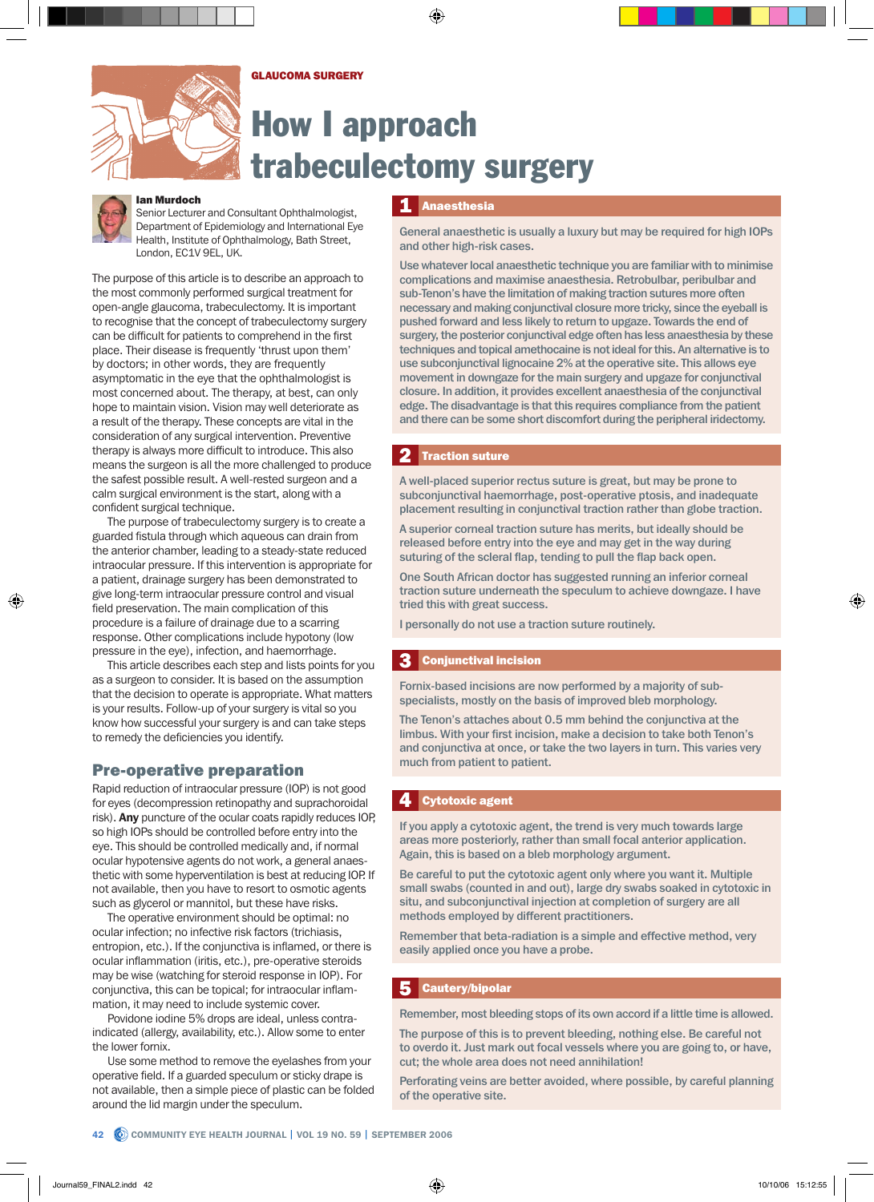## GLAUCOMA SURGERY



# How I approach trabeculectomy surgery



## Ian Murdoch

Senior Lecturer and Consultant Ophthalmologist, Department of Epidemiology and International Eye Health, Institute of Ophthalmology, Bath Street, London, EC1V 9EL, UK.

The purpose of this article is to describe an approach to the most commonly performed surgical treatment for open-angle glaucoma, trabeculectomy. It is important to recognise that the concept of trabeculectomy surgery can be difficult for patients to comprehend in the first place. Their disease is frequently 'thrust upon them' by doctors; in other words, they are frequently asymptomatic in the eye that the ophthalmologist is most concerned about. The therapy, at best, can only hope to maintain vision. Vision may well deteriorate as a result of the therapy. These concepts are vital in the consideration of any surgical intervention. Preventive therapy is always more difficult to introduce. This also means the surgeon is all the more challenged to produce the safest possible result. A well-rested surgeon and a calm surgical environment is the start, along with a confident surgical technique.

The purpose of trabeculectomy surgery is to create a guarded fistula through which aqueous can drain from the anterior chamber, leading to a steady-state reduced intraocular pressure. If this intervention is appropriate for a patient, drainage surgery has been demonstrated to give long-term intraocular pressure control and visual field preservation. The main complication of this procedure is a failure of drainage due to a scarring response. Other complications include hypotony (low pressure in the eye), infection, and haemorrhage.

This article describes each step and lists points for you as a surgeon to consider. It is based on the assumption that the decision to operate is appropriate. What matters is your results. Follow-up of your surgery is vital so you know how successful your surgery is and can take steps to remedy the deficiencies you identify.

## Pre-operative preparation

Rapid reduction of intraocular pressure (IOP) is not good for eyes (decompression retinopathy and suprachoroidal risk). Any puncture of the ocular coats rapidly reduces IOP, so high IOPs should be controlled before entry into the eye. This should be controlled medically and, if normal ocular hypotensive agents do not work, a general anaesthetic with some hyperventilation is best at reducing IOP. If not available, then you have to resort to osmotic agents such as glycerol or mannitol, but these have risks.

The operative environment should be optimal: no ocular infection; no infective risk factors (trichiasis, entropion, etc.). If the conjunctiva is inflamed, or there is ocular inflammation (iritis, etc.), pre-operative steroids may be wise (watching for steroid response in IOP). For conjunctiva, this can be topical; for intraocular inflammation, it may need to include systemic cover.

Povidone iodine 5% drops are ideal, unless contraindicated (allergy, availability, etc.). Allow some to enter the lower fornix.

Use some method to remove the eyelashes from your operative field. If a guarded speculum or sticky drape is not available, then a simple piece of plastic can be folded around the lid margin under the speculum.

#### Anaesthesia 1

General anaesthetic is usually a luxury but may be required for high IOPs and other high-risk cases.

Use whatever local anaesthetic technique you are familiar with to minimise complications and maximise anaesthesia. Retrobulbar, peribulbar and sub-Tenon's have the limitation of making traction sutures more often necessary and making conjunctival closure more tricky, since the eyeball is pushed forward and less likely to return to upgaze. Towards the end of surgery, the posterior conjunctival edge often has less anaesthesia by these techniques and topical amethocaine is not ideal for this. An alternative is to use subconjunctival lignocaine 2% at the operative site. This allows eye movement in downgaze for the main surgery and upgaze for conjunctival closure. In addition, it provides excellent anaesthesia of the conjunctival edge. The disadvantage is that this requires compliance from the patient and there can be some short discomfort during the peripheral iridectomy.

#### Traction suture 2

A well-placed superior rectus suture is great, but may be prone to subconjunctival haemorrhage, post-operative ptosis, and inadequate placement resulting in conjunctival traction rather than globe traction.

A superior corneal traction suture has merits, but ideally should be released before entry into the eye and may get in the way during suturing of the scleral flap, tending to pull the flap back open.

One South African doctor has suggested running an inferior corneal traction suture underneath the speculum to achieve downgaze. I have tried this with great success.

I personally do not use a traction suture routinely.

#### Conjunctival incision 3

Fornix-based incisions are now performed by a majority of subspecialists, mostly on the basis of improved bleb morphology.

The Tenon's attaches about 0.5 mm behind the conjunctiva at the limbus. With your first incision, make a decision to take both Tenon's and conjunctiva at once, or take the two layers in turn. This varies very much from patient to patient.

#### Cytotoxic agent 4

If you apply a cytotoxic agent, the trend is very much towards large areas more posteriorly, rather than small focal anterior application. Again, this is based on a bleb morphology argument.

Be careful to put the cytotoxic agent only where you want it. Multiple small swabs (counted in and out), large dry swabs soaked in cytotoxic in situ, and subconjunctival injection at completion of surgery are all methods employed by different practitioners.

Remember that beta-radiation is a simple and effective method, very easily applied once you have a probe.

#### Cautery/bipolar 5

Remember, most bleeding stops of its own accord if a little time is allowed.

The purpose of this is to prevent bleeding, nothing else. Be careful not to overdo it. Just mark out focal vessels where you are going to, or have, cut; the whole area does not need annihilation!

Perforating veins are better avoided, where possible, by careful planning of the operative site.